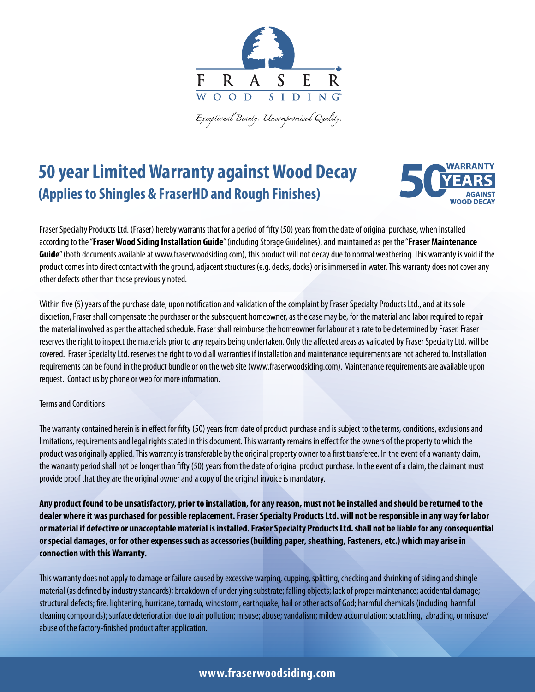

Exceptional Beauty. Uncompromised Quality.

## **50 year Limited Warranty against Wood Decay (Applies to Shingles & FraserHD and Rough Finishes)**



Fraser Specialty Products Ltd. (Fraser) hereby warrants that for a period of fifty (50) years from the date of original purchase, when installed according to the "**Fraser Wood Siding Installation Guide**" (including Storage Guidelines), and maintained as per the "**Fraser Maintenance Guide**" (both documents available at www.fraserwoodsiding.com), this product will not decay due to normal weathering. This warranty is void if the product comes into direct contact with the ground, adjacent structures (e.g. decks, docks) or is immersed in water. This warranty does not cover any other defects other than those previously noted.

Within five (5) years of the purchase date, upon notification and validation of the complaint by Fraser Specialty Products Ltd., and at its sole discretion, Fraser shall compensate the purchaser or the subsequent homeowner, as the case may be, for the material and labor required to repair the material involved as per the attached schedule. Fraser shall reimburse the homeowner for labour at a rate to be determined by Fraser. Fraser reserves the right to inspect the materials prior to any repairs being undertaken. Only the affected areas as validated by Fraser Specialty Ltd. will be covered. Fraser Specialty Ltd. reserves the right to void all warranties if installation and maintenance requirements are not adhered to. Installation requirements can be found in the product bundle or on the web site (www.fraserwoodsiding.com). Maintenance requirements are available upon request. Contact us by phone or web for more information.

## Terms and Conditions

The warranty contained herein is in effect for fifty (50) years from date of product purchase and is subject to the terms, conditions, exclusions and limitations, requirements and legal rights stated in this document. This warranty remains in effect for the owners of the property to which the product was originally applied. This warranty is transferable by the original property owner to a first transferee. In the event of a warranty claim, the warranty period shall not be longer than fifty (50) years from the date of original product purchase. In the event of a claim, the claimant must provide proof that they are the original owner and a copy of the original invoice is mandatory.

**Any product found to be unsatisfactory, prior to installation, for any reason, must not be installed and should be returned to the dealer where it was purchased for possible replacement. Fraser Specialty Products Ltd. will not be responsible in any way for labor or material if defective or unacceptable material is installed. Fraser Specialty Products Ltd. shall not be liable for any consequential or special damages, or for other expenses such as accessories (building paper, sheathing, Fasteners, etc.) which may arise in connection with this Warranty.** 

This warranty does not apply to damage or failure caused by excessive warping, cupping, splitting, checking and shrinking of siding and shingle material (as defined by industry standards); breakdown of underlying substrate; falling objects; lack of proper maintenance; accidental damage; structural defects; fire, lightening, hurricane, tornado, windstorm, earthquake, hail or other acts of God; harmful chemicals (including harmful cleaning compounds); surface deterioration due to air pollution; misuse; abuse; vandalism; mildew accumulation; scratching, abrading, or misuse/ abuse of the factory-finished product after application.

## **www.fraserwoodsiding.com**